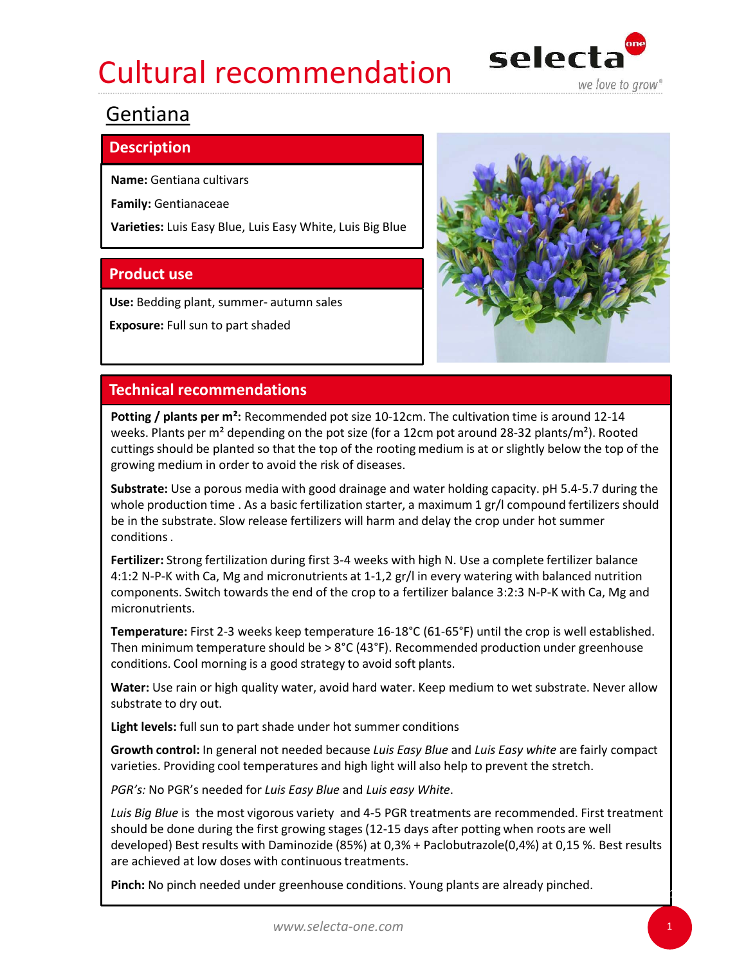## Cultural recommendation selecta



### Gentiana

### **Description**

Family: Gentianaceae

Varieties: Luis Easy Blue, Luis Easy White, Luis Big Blue

Exposure: Full sun to part shaded



Potting / plants per m<sup>2</sup>: Recommended pot size 10-12cm. The cultivation time is around 12-14 weeks. Plants per m<sup>2</sup> depending on the pot size (for a 12cm pot around 28-32 plants/m<sup>2</sup>). Rooted cuttings should be planted so that the top of the rooting medium is at or slightly below the top of the growing medium in order to avoid the risk of diseases. **Product use**<br> **Exposure:** Full sun to part shaded<br> **Exposure:** Full sun to part shaded<br> **Exposure:** Full sun to part shaded<br> **Exposure:** Pridepending on the pot size (for a 12cm, The cultivation time is around 12-14<br>
who **Technical recommendations**<br> **Potting / plants per m<sup>2</sup>: Recommended pot size 10-12cm. The cultivation time is around 12-14<br>
wetes. Plants per m<sup>3</sup> depending on the pot size (for a 12cm pot around 28-32 plants/m<sup>2</sup>). Roote** 

Substrate: Use a porous media with good drainage and water holding capacity. pH 5.4-5.7 during the whole production time . As a basic fertilization starter, a maximum 1 gr/l compound fertilizers should conditions . **EXECT PERATE THE SET AS THE SET AS THE SET AND MONUME THE SET AND THE VERTIFY AND A DRUPT AND A DRUPT AND A DRUPT AND A DRUPT AND A DRUPT AND A DRUPT AND A DRUPT AND A DRUPT AND A DRUPT A UNIT AND A DRUPT A UNIT AND A DR** 

Fertilizer: Strong fertilization during first 3-4 weeks with high N. Use a complete fertilizer balance components. Switch towards the end of the crop to a fertilizer balance 3:2:3 N-P-K with Ca, Mg and micronutrients.

Temperature: First 2-3 weeks keep temperature 16-18°C (61-65°F) until the crop is well established. Then minimum temperature should be  $> 8^{\circ}C(43^{\circ}F)$ . Recommended production under greenhouse conditions. Cool morning is a good strategy to avoid soft plants.

substrate to dry out.

Growth control: In general not needed because Luis Easy Blue and Luis Easy white are fairly compact varieties. Providing cool temperatures and high light will also help to prevent the stretch.

PGR's: No PGR's needed for Luis Easy Blue and Luis easy White.

Where wover the substrate. Slow release fertiliziers will harm and delay the crop under hot summer conditions.<br>
For the substrate. Slow release fertiliziers will harm and delay the crop under hot summer conditions.<br>
4-1:2 should be done during the first growing stages (12-15 days after potting when roots are well developed) Best results with Daminozide (85%) at 0,3% + Paclobutrazole(0,4%) at 0,15 %. Best results are achieved at low doses with continuous treatments.

Pinch: No pinch needed under greenhouse conditions. Young plants are already pinched.

 $1 - 1 - 1$